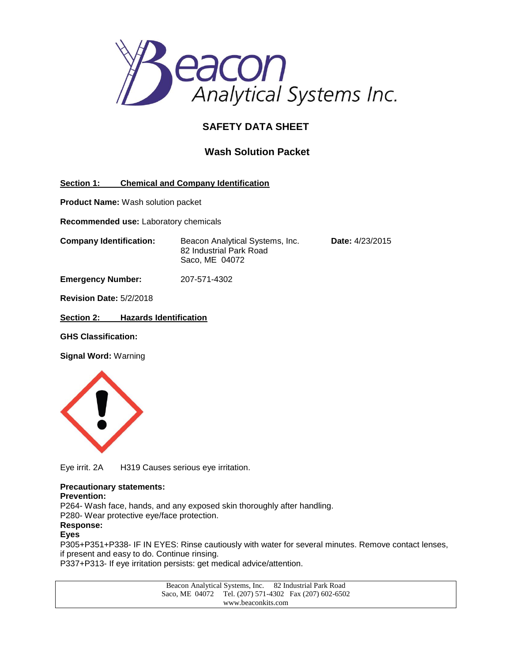

# **SAFETY DATA SHEET**

## **Wash Solution Packet**

**Section 1: Chemical and Company Identification**

**Product Name:** Wash solution packet

**Recommended use:** Laboratory chemicals

**Company Identification:** Beacon Analytical Systems, Inc. **Date:** 4/23/2015 82 Industrial Park Road Saco, ME 04072

**Emergency Number:** 207-571-4302

**Revision Date:** 5/2/2018

**Section 2: Hazards Identification**

**GHS Classification:**

**Signal Word:** Warning



Eye irrit. 2A H319 Causes serious eye irritation.

#### **Precautionary statements:**

#### **Prevention:**

P264- Wash face, hands, and any exposed skin thoroughly after handling. P280- Wear protective eye/face protection.

**Response:**

### **Eyes**

P305+P351+P338- IF IN EYES: Rinse cautiously with water for several minutes. Remove contact lenses, if present and easy to do. Continue rinsing.

P337+P313- If eye irritation persists: get medical advice/attention.

Beacon Analytical Systems, Inc. 82 Industrial Park Road Saco, ME 04072 Tel. (207) 571-4302 Fax (207) 602-6502 www.beaconkits.com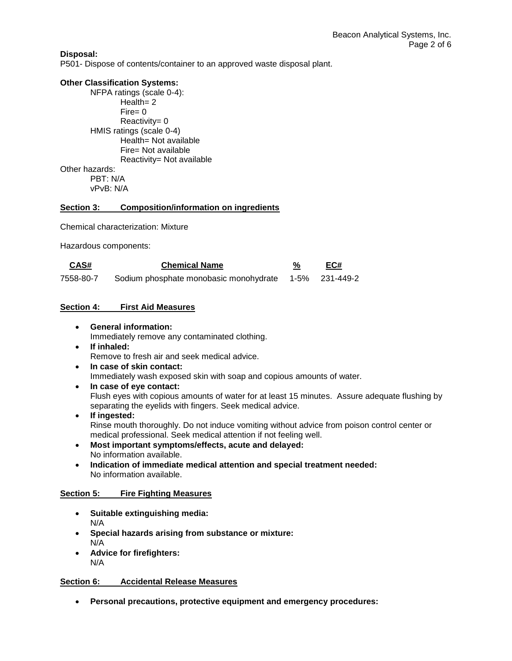### **Disposal:**

P501- Dispose of contents/container to an approved waste disposal plant.

#### **Other Classification Systems:**

NFPA ratings (scale 0-4): Health = 2  $Fire = 0$ Reactivity= 0 HMIS ratings (scale 0-4) Health= Not available Fire= Not available Reactivity= Not available Other hazards: PBT: N/A vPvB: N/A

#### **Section 3: Composition/information on ingredients**

Chemical characterization: Mixture

Hazardous components:

| CAS#      | <b>Chemical Name</b>                                  | EC# |
|-----------|-------------------------------------------------------|-----|
| 7558-80-7 | Sodium phosphate monobasic monohydrate 1-5% 231-449-2 |     |

### **Section 4: First Aid Measures**

**General information:**

Immediately remove any contaminated clothing.

- **If inhaled:** Remove to fresh air and seek medical advice.
- **In case of skin contact:** Immediately wash exposed skin with soap and copious amounts of water.
- **In case of eye contact:** Flush eyes with copious amounts of water for at least 15 minutes. Assure adequate flushing by separating the eyelids with fingers. Seek medical advice.
- **If ingested:** Rinse mouth thoroughly. Do not induce vomiting without advice from poison control center or medical professional. Seek medical attention if not feeling well.
- **Most important symptoms/effects, acute and delayed:** No information available.
- **Indication of immediate medical attention and special treatment needed:** No information available.

#### **Section 5: Fire Fighting Measures**

- **Suitable extinguishing media:** N/A
- **Special hazards arising from substance or mixture:** N/A
- **Advice for firefighters:** N/A

#### **Section 6: Accidental Release Measures**

**Personal precautions, protective equipment and emergency procedures:**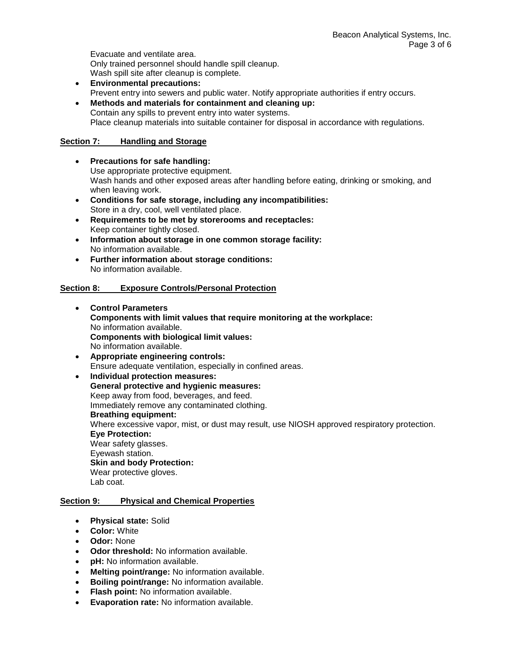Evacuate and ventilate area. Only trained personnel should handle spill cleanup. Wash spill site after cleanup is complete.

- **Environmental precautions:** Prevent entry into sewers and public water. Notify appropriate authorities if entry occurs.
- **Methods and materials for containment and cleaning up:** Contain any spills to prevent entry into water systems. Place cleanup materials into suitable container for disposal in accordance with regulations.

## **Section 7: Handling and Storage**

- **Precautions for safe handling:** Use appropriate protective equipment. Wash hands and other exposed areas after handling before eating, drinking or smoking, and when leaving work.
- **Conditions for safe storage, including any incompatibilities:** Store in a dry, cool, well ventilated place.
- **Requirements to be met by storerooms and receptacles:**  Keep container tightly closed.
- **Information about storage in one common storage facility:** No information available.
- **Further information about storage conditions:** No information available.

## **Section 8: Exposure Controls/Personal Protection**

- **Control Parameters Components with limit values that require monitoring at the workplace:** No information available. **Components with biological limit values:** No information available.
- **Appropriate engineering controls:**  Ensure adequate ventilation, especially in confined areas.
- **Individual protection measures: General protective and hygienic measures:** Keep away from food, beverages, and feed. Immediately remove any contaminated clothing. **Breathing equipment:** Where excessive vapor, mist, or dust may result, use NIOSH approved respiratory protection. **Eye Protection:** Wear safety glasses. Eyewash station. **Skin and body Protection:** Wear protective gloves. Lab coat.

## **Section 9: Physical and Chemical Properties**

- **Physical state:** Solid
- **Color:** White
- **Odor:** None
- **Odor threshold:** No information available.
- **pH:** No information available.
- **Melting point/range:** No information available.
- **Boiling point/range:** No information available.
- **Flash point:** No information available.
- **Evaporation rate:** No information available.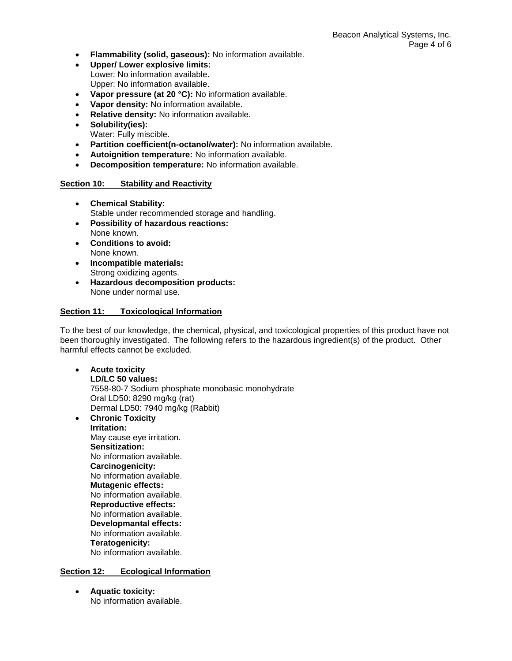- **Flammability (solid, gaseous):** No information available.
- **Upper/ Lower explosive limits:**
- Lower: No information available. Upper: No information available.
- **Vapor pressure (at 20 °C):** No information available.
- **Vapor density:** No information available.
- **Relative density:** No information available.
- **Solubility(ies):** Water: Fully miscible.
- **Partition coefficient(n-octanol/water):** No information available.
- **Autoignition temperature:** No information available.
- **Decomposition temperature:** No information available.

### **Section 10: Stability and Reactivity**

- **Chemical Stability:** Stable under recommended storage and handling.
- **Possibility of hazardous reactions:** None known.
- **Conditions to avoid:** None known.
- **Incompatible materials:** Strong oxidizing agents.
- **Hazardous decomposition products:** None under normal use.

#### **Section 11: Toxicological Information**

To the best of our knowledge, the chemical, physical, and toxicological properties of this product have not been thoroughly investigated. The following refers to the hazardous ingredient(s) of the product. Other harmful effects cannot be excluded.

- **Acute toxicity LD/LC 50 values:** 7558-80-7 Sodium phosphate monobasic monohydrate Oral LD50: 8290 mg/kg (rat) Dermal LD50: 7940 mg/kg (Rabbit)
- **Chronic Toxicity Irritation:** May cause eye irritation. **Sensitization:** No information available. **Carcinogenicity:** No information available. **Mutagenic effects:** No information available. **Reproductive effects:** No information available. **Developmantal effects:** No information available. **Teratogenicity:** No information available.

## **Section 12: Ecological Information**

 **Aquatic toxicity:** No information available.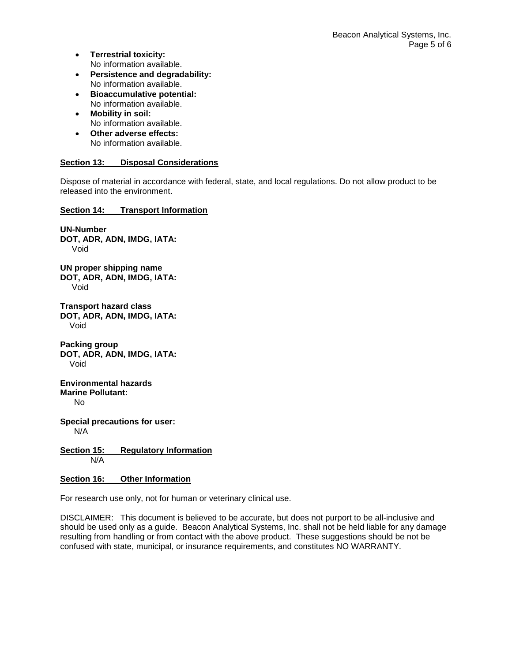- **Terrestrial toxicity:** No information available.
- **Persistence and degradability:** No information available.
- **Bioaccumulative potential:** No information available.
- **Mobility in soil:** No information available.
- **Other adverse effects:** No information available.

## **Section 13: Disposal Considerations**

Dispose of material in accordance with federal, state, and local regulations. Do not allow product to be released into the environment.

## **Section 14: Transport Information**

**UN-Number DOT, ADR, ADN, IMDG, IATA:** Void **UN proper shipping name DOT, ADR, ADN, IMDG, IATA:** Void **Transport hazard class DOT, ADR, ADN, IMDG, IATA:** Void **Packing group DOT, ADR, ADN, IMDG, IATA:** Void **Environmental hazards Marine Pollutant:** No **Special precautions for user:** N/A **Section 15: Regulatory Information** N/A

## **Section 16: Other Information**

For research use only, not for human or veterinary clinical use.

DISCLAIMER: This document is believed to be accurate, but does not purport to be all-inclusive and should be used only as a guide. Beacon Analytical Systems, Inc. shall not be held liable for any damage resulting from handling or from contact with the above product. These suggestions should be not be confused with state, municipal, or insurance requirements, and constitutes NO WARRANTY.